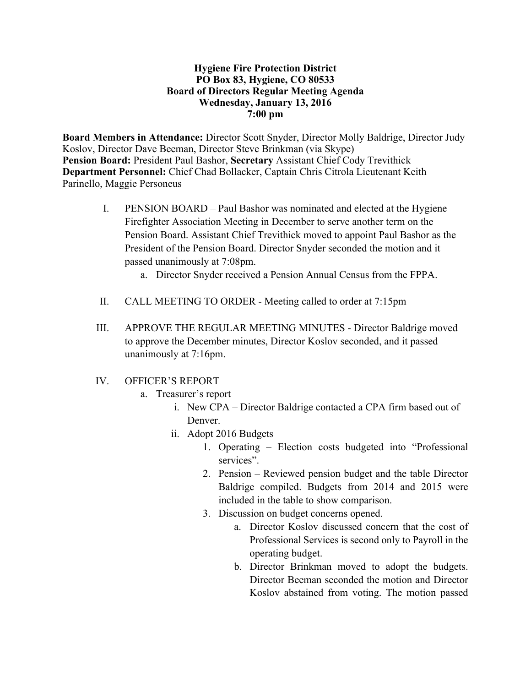#### **Hygiene Fire Protection District PO Box 83, Hygiene, CO 80533 Board of Directors Regular Meeting Agenda Wednesday, January 13, 2016 7:00 pm**

**Board Members in Attendance:** Director Scott Snyder, Director Molly Baldrige, Director Judy Koslov, Director Dave Beeman, Director Steve Brinkman (via Skype) **Pension Board:** President Paul Bashor, **Secretary** Assistant Chief Cody Trevithick **Department Personnel:** Chief Chad Bollacker, Captain Chris Citrola Lieutenant Keith Parinello, Maggie Personeus

- I. PENSION BOARD Paul Bashor was nominated and elected at the Hygiene Firefighter Association Meeting in December to serve another term on the Pension Board. Assistant Chief Trevithick moved to appoint Paul Bashor as the President of the Pension Board. Director Snyder seconded the motion and it passed unanimously at 7:08pm.
	- a. Director Snyder received a Pension Annual Census from the FPPA.
- II. CALL MEETING TO ORDER Meeting called to order at 7:15pm
- III. APPROVE THE REGULAR MEETING MINUTES Director Baldrige moved to approve the December minutes, Director Koslov seconded, and it passed unanimously at 7:16pm.
- IV. OFFICER'S REPORT
	- a. Treasurer's report
		- i. New CPA Director Baldrige contacted a CPA firm based out of Denver.
		- ii. Adopt 2016 Budgets
			- 1. Operating Election costs budgeted into "Professional services".
			- 2. Pension Reviewed pension budget and the table Director Baldrige compiled. Budgets from 2014 and 2015 were included in the table to show comparison.
			- 3. Discussion on budget concerns opened.
				- a. Director Koslov discussed concern that the cost of Professional Services is second only to Payroll in the operating budget.
				- b. Director Brinkman moved to adopt the budgets. Director Beeman seconded the motion and Director Koslov abstained from voting. The motion passed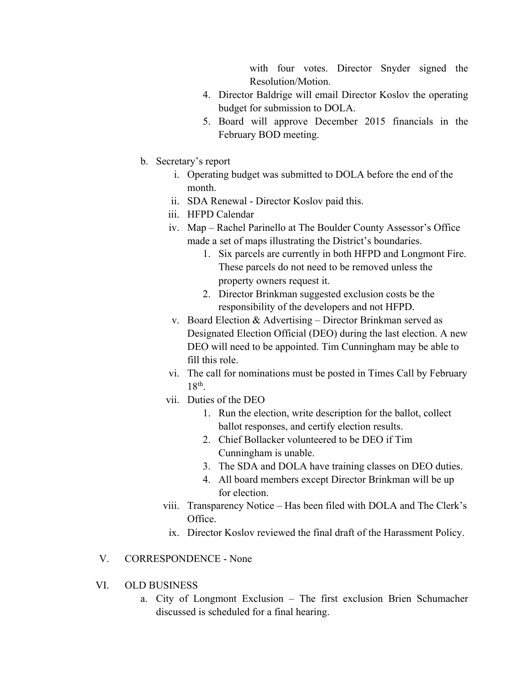with four votes. Director Snyder signed the Resolution/Motion.

- 4. Director Baldrige will email Director Koslov the operating budget for submission to DOLA.
- 5. Board will approve December 2015 financials in the February BOD meeting.
- b. Secretary's report
	- i. Operating budget was submitted to DOLA before the end of the month.
	- ii. SDA Renewal Director Koslov paid this.
	- iii. HFPD Calendar
	- iv. Map Rachel Parinello at The Boulder County Assessor's Office made a set of maps illustrating the District's boundaries.
		- 1. Six parcels are currently in both HFPD and Longmont Fire. These parcels do not need to be removed unless the property owners request it.
		- 2. Director Brinkman suggested exclusion costs be the responsibility of the developers and not HFPD.
	- v. Board Election & Advertising Director Brinkman served as Designated Election Official (DEO) during the last election. A new DEO will need to be appointed. Tim Cunningham may be able to fill this role.
	- vi. The call for nominations must be posted in Times Call by February 18th.
	- vii. Duties of the DEO
		- 1. Run the election, write description for the ballot, collect ballot responses, and certify election results.
		- 2. Chief Bollacker volunteered to be DEO if Tim Cunningham is unable.
		- 3. The SDA and DOLA have training classes on DEO duties.
		- 4. All board members except Director Brinkman will be up for election.
	- viii. Transparency Notice Has been filed with DOLA and The Clerk's Office.
	- ix. Director Koslov reviewed the final draft of the Harassment Policy.

## V. CORRESPONDENCE - None

- VI. OLD BUSINESS
	- a. City of Longmont Exclusion The first exclusion Brien Schumacher discussed is scheduled for a final hearing.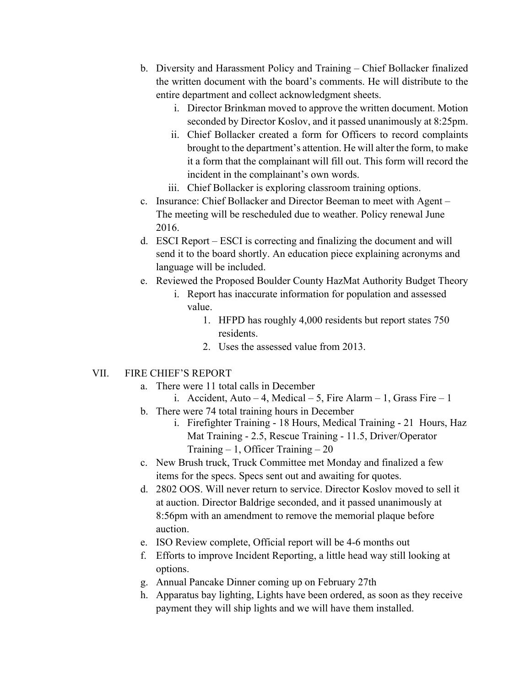- b. Diversity and Harassment Policy and Training Chief Bollacker finalized the written document with the board's comments. He will distribute to the entire department and collect acknowledgment sheets.
	- i. Director Brinkman moved to approve the written document. Motion seconded by Director Koslov, and it passed unanimously at 8:25pm.
	- ii. Chief Bollacker created a form for Officers to record complaints brought to the department's attention. He will alter the form, to make it a form that the complainant will fill out. This form will record the incident in the complainant's own words.
	- iii. Chief Bollacker is exploring classroom training options.
- c. Insurance: Chief Bollacker and Director Beeman to meet with Agent The meeting will be rescheduled due to weather. Policy renewal June 2016.
- d. ESCI Report ESCI is correcting and finalizing the document and will send it to the board shortly. An education piece explaining acronyms and language will be included.
- e. Reviewed the Proposed Boulder County HazMat Authority Budget Theory
	- i. Report has inaccurate information for population and assessed value.
		- 1. HFPD has roughly 4,000 residents but report states 750 residents.
		- 2. Uses the assessed value from 2013.

# VII. FIRE CHIEF'S REPORT

- a. There were 11 total calls in December
	- i. Accident, Auto 4, Medical 5, Fire Alarm 1, Grass Fire 1
- b. There were 74 total training hours in December
	- i. Firefighter Training 18 Hours, Medical Training 21 Hours, Haz Mat Training - 2.5, Rescue Training - 11.5, Driver/Operator Training  $-1$ , Officer Training  $-20$
- c. New Brush truck, Truck Committee met Monday and finalized a few items for the specs. Specs sent out and awaiting for quotes.
- d. 2802 OOS. Will never return to service. Director Koslov moved to sell it at auction. Director Baldrige seconded, and it passed unanimously at 8:56pm with an amendment to remove the memorial plaque before auction.
- e. ISO Review complete, Official report will be 4-6 months out
- f. Efforts to improve Incident Reporting, a little head way still looking at options.
- g. Annual Pancake Dinner coming up on February 27th
- h. Apparatus bay lighting, Lights have been ordered, as soon as they receive payment they will ship lights and we will have them installed.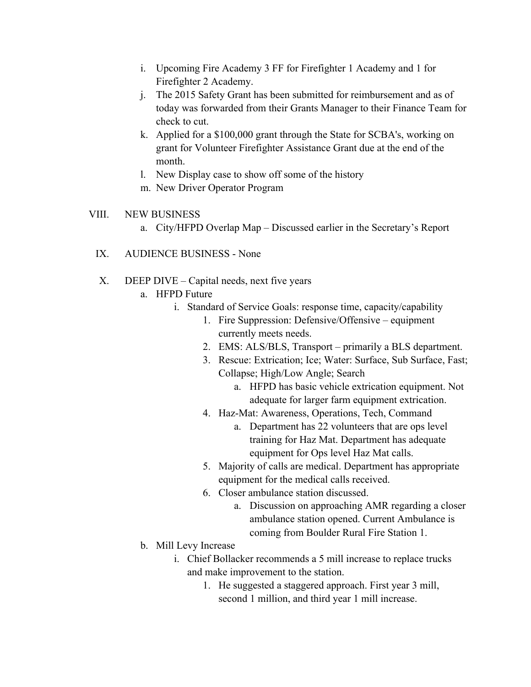- i. Upcoming Fire Academy 3 FF for Firefighter 1 Academy and 1 for Firefighter 2 Academy.
- j. The 2015 Safety Grant has been submitted for reimbursement and as of today was forwarded from their Grants Manager to their Finance Team for check to cut.
- k. Applied for a \$100,000 grant through the State for SCBA's, working on grant for Volunteer Firefighter Assistance Grant due at the end of the month.
- l. New Display case to show off some of the history
- m. New Driver Operator Program

## VIII. NEW BUSINESS

- a. City/HFPD Overlap Map Discussed earlier in the Secretary's Report
- IX. AUDIENCE BUSINESS None
- X. DEEP DIVE Capital needs, next five years
	- a. HFPD Future
		- i. Standard of Service Goals: response time, capacity/capability
			- 1. Fire Suppression: Defensive/Offensive equipment currently meets needs.
			- 2. EMS: ALS/BLS, Transport primarily a BLS department.
			- 3. Rescue: Extrication; Ice; Water: Surface, Sub Surface, Fast; Collapse; High/Low Angle; Search
				- a. HFPD has basic vehicle extrication equipment. Not adequate for larger farm equipment extrication.
			- 4. Haz-Mat: Awareness, Operations, Tech, Command
				- a. Department has 22 volunteers that are ops level training for Haz Mat. Department has adequate equipment for Ops level Haz Mat calls.
			- 5. Majority of calls are medical. Department has appropriate equipment for the medical calls received.
			- 6. Closer ambulance station discussed.
				- a. Discussion on approaching AMR regarding a closer ambulance station opened. Current Ambulance is coming from Boulder Rural Fire Station 1.
	- b. Mill Levy Increase
		- i. Chief Bollacker recommends a 5 mill increase to replace trucks and make improvement to the station.
			- 1. He suggested a staggered approach. First year 3 mill, second 1 million, and third year 1 mill increase.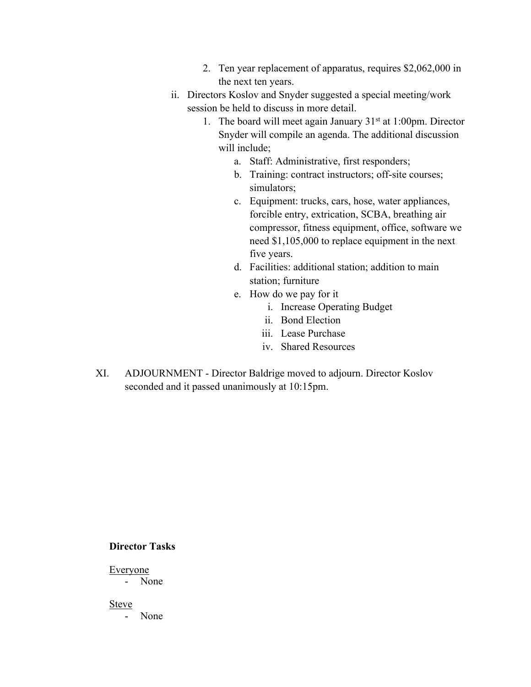- 2. Ten year replacement of apparatus, requires \$2,062,000 in the next ten years.
- ii. Directors Koslov and Snyder suggested a special meeting/work session be held to discuss in more detail.
	- 1. The board will meet again January  $31<sup>st</sup>$  at 1:00pm. Director Snyder will compile an agenda. The additional discussion will include;
		- a. Staff: Administrative, first responders;
		- b. Training: contract instructors; off-site courses; simulators;
		- c. Equipment: trucks, cars, hose, water appliances, forcible entry, extrication, SCBA, breathing air compressor, fitness equipment, office, software we need \$1,105,000 to replace equipment in the next five years.
		- d. Facilities: additional station; addition to main station; furniture
		- e. How do we pay for it
			- i. Increase Operating Budget
			- ii. Bond Election
			- iii. Lease Purchase
			- iv. Shared Resources
- XI. ADJOURNMENT Director Baldrige moved to adjourn. Director Koslov seconded and it passed unanimously at 10:15pm.

#### **Director Tasks**

Everyone

- None

Steve

- None